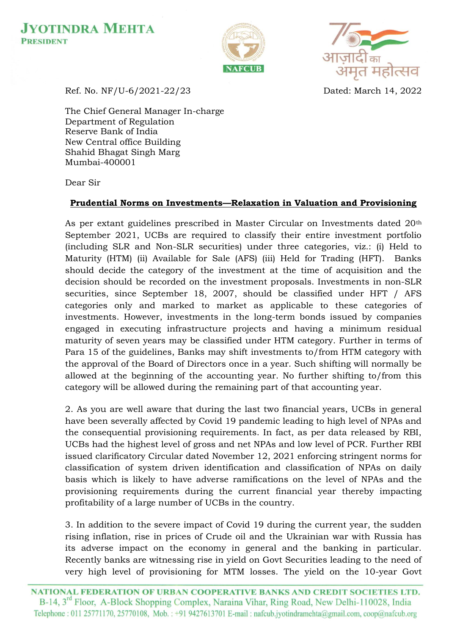





Ref. No. NF/U-6/2021-22/23 Dated: March 14, 2022

The Chief General Manager In-charge Department of Regulation Reserve Bank of India New Central office Building Shahid Bhagat Singh Marg Mumbai-400001

Dear Sir

## **Prudential Norms on Investments—Relaxation in Valuation and Provisioning**

As per extant guidelines prescribed in Master Circular on Investments dated 20th September 2021, UCBs are required to classify their entire investment portfolio (including SLR and Non-SLR securities) under three categories, viz.: (i) Held to Maturity (HTM) (ii) Available for Sale (AFS) (iii) Held for Trading (HFT). Banks should decide the category of the investment at the time of acquisition and the decision should be recorded on the investment proposals. Investments in non-SLR securities, since September 18, 2007, should be classified under HFT / AFS categories only and marked to market as applicable to these categories of investments. However, investments in the long-term bonds issued by companies engaged in executing infrastructure projects and having a minimum residual maturity of seven years may be classified under HTM category. Further in terms of Para 15 of the guidelines, Banks may shift investments to/from HTM category with the approval of the Board of Directors once in a year. Such shifting will normally be allowed at the beginning of the accounting year. No further shifting to/from this category will be allowed during the remaining part of that accounting year.

2. As you are well aware that during the last two financial years, UCBs in general have been severally affected by Covid 19 pandemic leading to high level of NPAs and the consequential provisioning requirements. In fact, as per data released by RBI, UCBs had the highest level of gross and net NPAs and low level of PCR. Further RBI issued clarificatory Circular dated November 12, 2021 enforcing stringent norms for classification of system driven identification and classification of NPAs on daily basis which is likely to have adverse ramifications on the level of NPAs and the provisioning requirements during the current financial year thereby impacting profitability of a large number of UCBs in the country.

3. In addition to the severe impact of Covid 19 during the current year, the sudden rising inflation, rise in prices of Crude oil and the Ukrainian war with Russia has its adverse impact on the economy in general and the banking in particular. Recently banks are witnessing rise in yield on Govt Securities leading to the need of very high level of provisioning for MTM losses. The yield on the 10-year Govt